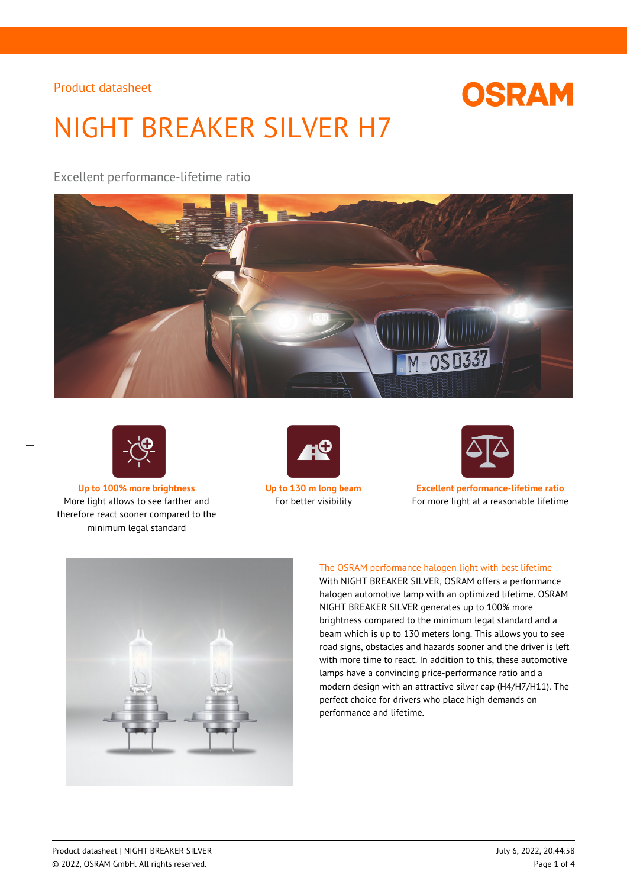# **OSRAM**

# NIGHT BREAKER SILVER H7

Excellent performance-lifetime ratio





 $\overline{a}$ 

More light allows to see farther and therefore react sooner compared to the minimum legal standard





**Up to 100% more brightness Up to 130 m long beam Excellent performance-lifetime ratio** For better visibility For more light at a reasonable lifetime



## The OSRAM performance halogen light with best lifetime

With NIGHT BREAKER SILVER, OSRAM offers a performance halogen automotive lamp with an optimized lifetime. OSRAM NIGHT BREAKER SILVER generates up to 100% more brightness compared to the minimum legal standard and a beam which is up to 130 meters long. This allows you to see road signs, obstacles and hazards sooner and the driver is left with more time to react. In addition to this, these automotive lamps have a convincing price-performance ratio and a modern design with an attractive silver cap (H4/H7/H11). The perfect choice for drivers who place high demands on performance and lifetime.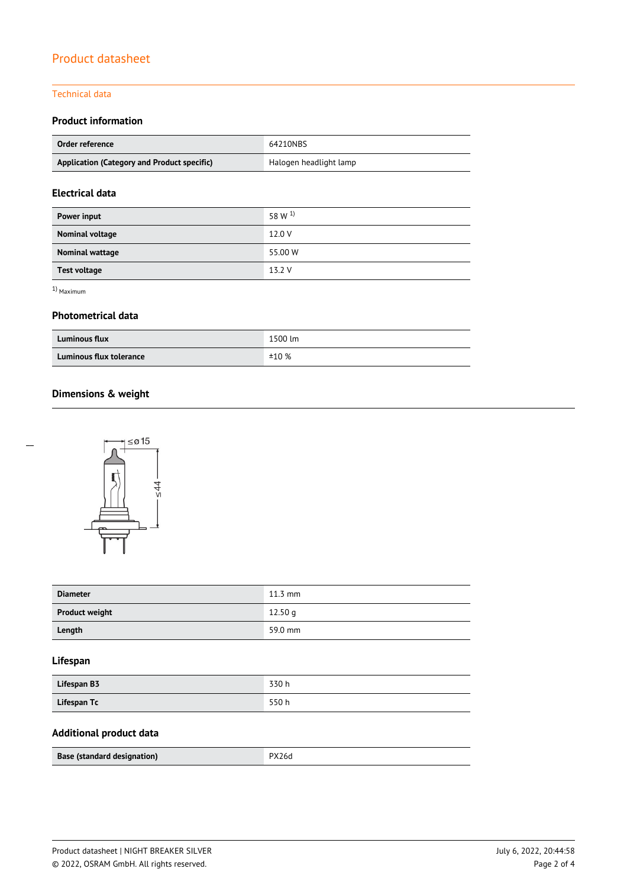## Technical data

## **Product information**

| Order reference                             | 64210NBS               |  |
|---------------------------------------------|------------------------|--|
| Application (Category and Product specific) | Halogen headlight lamp |  |

## **Electrical data**

| Power input         | 58 W <sup>1</sup> |
|---------------------|-------------------|
| Nominal voltage     | 12.0 V            |
| Nominal wattage     | 55.00 W           |
| <b>Test voltage</b> | 13.2 V            |

1) Maximum

 $\overline{a}$ 

## **Photometrical data**

| <b>Luminous flux</b>    | 1500 lm |
|-------------------------|---------|
| Luminous flux tolerance | ±10%    |

# **Dimensions & weight**



| <b>Diameter</b>       | $11.3 \text{ mm}$ |
|-----------------------|-------------------|
| <b>Product weight</b> | 12.50q            |
| Length                | 59.0 mm           |

## **Lifespan**

| Lifespan B3 | 330h |
|-------------|------|
| Lifespan Tc | 550h |

## **Additional product data**

|  | Base (standard designation) | PX26d |
|--|-----------------------------|-------|
|--|-----------------------------|-------|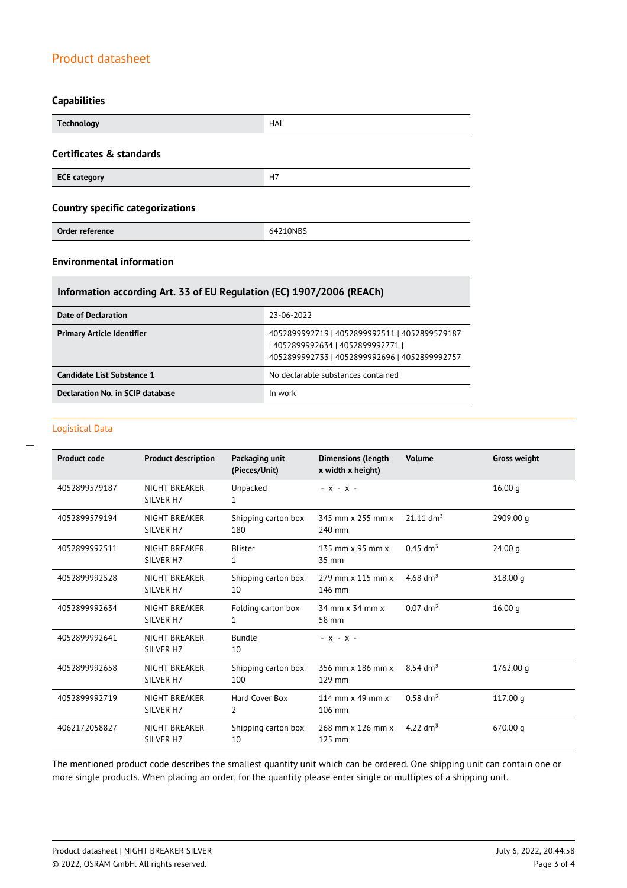### **Capabilities**

| <b>Technology</b>                       | <b>HAL</b> |  |
|-----------------------------------------|------------|--|
| Certificates & standards                |            |  |
| <b>ECE category</b>                     | H7         |  |
| <b>Country specific categorizations</b> |            |  |
| Order reference                         | 64210NBS   |  |

## **Environmental information**

## **Information according Art. 33 of EU Regulation (EC) 1907/2006 (REACh)**

| Date of Declaration               | 23-06-2022                                                                                                                          |
|-----------------------------------|-------------------------------------------------------------------------------------------------------------------------------------|
| <b>Primary Article Identifier</b> | 4052899992719   4052899992511   4052899579187<br>  4052899992634   4052899992771  <br>4052899992733   4052899992696   4052899992757 |
| Candidate List Substance 1        | No declarable substances contained                                                                                                  |
| Declaration No. in SCIP database  | In work                                                                                                                             |

#### Logistical Data

 $\overline{a}$ 

| <b>Product code</b> | <b>Product description</b>        | Packaging unit<br>(Pieces/Unit) | <b>Dimensions (length</b><br>x width x height) | Volume                  | <b>Gross weight</b> |
|---------------------|-----------------------------------|---------------------------------|------------------------------------------------|-------------------------|---------------------|
| 4052899579187       | NIGHT BREAKER<br>SILVER H7        | Unpacked<br>1                   | $- x - x -$                                    |                         | 16.00 <sub>q</sub>  |
| 4052899579194       | NIGHT BREAKER<br>SILVER H7        | Shipping carton box<br>180      | 345 mm x 255 mm x<br>240 mm                    | $21.11$ dm <sup>3</sup> | 2909.00 g           |
| 4052899992511       | NIGHT BREAKER<br>SILVER H7        | <b>Blister</b><br>1             | 135 mm $\times$ 95 mm $\times$<br>35 mm        | $0.45$ dm <sup>3</sup>  | 24.00 <sub>q</sub>  |
| 4052899992528       | NIGHT BREAKER<br>SILVER H7        | Shipping carton box<br>10       | 279 mm x 115 mm x<br>146 mm                    | 4.68 $\rm{dm^{3}}$      | 318.00 g            |
| 4052899992634       | NIGHT BREAKER<br>SILVER H7        | Folding carton box<br>1         | 34 mm x 34 mm x<br>58 mm                       | $0.07$ dm <sup>3</sup>  | 16.00 q             |
| 4052899992641       | <b>NIGHT BREAKER</b><br>SILVER H7 | <b>Bundle</b><br>10             | $- X - X -$                                    |                         |                     |
| 4052899992658       | <b>NIGHT BREAKER</b><br>SILVER H7 | Shipping carton box<br>100      | 356 mm x 186 mm x<br>129 mm                    | $8.54 \text{ dm}^3$     | 1762.00 g           |
| 4052899992719       | NIGHT BREAKER<br>SILVER H7        | Hard Cover Box<br>2             | 114 mm $\times$ 49 mm $\times$<br>106 mm       | $0.58$ dm <sup>3</sup>  | 117.00 g            |
| 4062172058827       | NIGHT BREAKER<br>SILVER H7        | Shipping carton box<br>10       | 268 mm x 126 mm x<br>$125$ mm                  | 4.22 $dm^3$             | 670.00 g            |

The mentioned product code describes the smallest quantity unit which can be ordered. One shipping unit can contain one or more single products. When placing an order, for the quantity please enter single or multiples of a shipping unit.